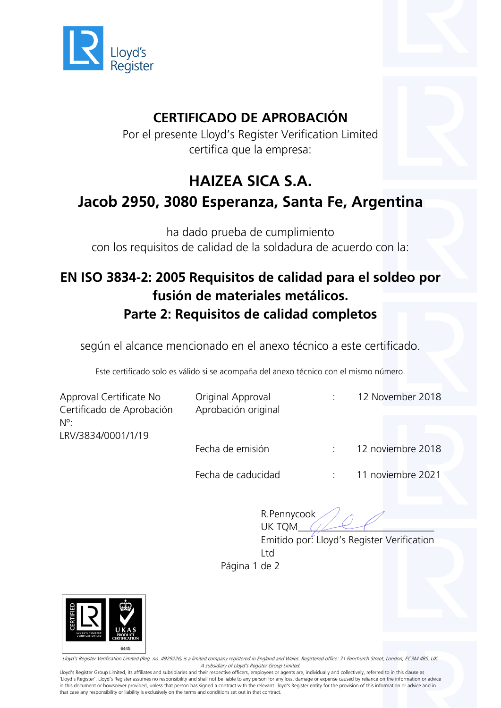

### **CERTIFICADO DE APROBACIÓN**

Por el presente Lloyd's Register Verification Limited certifica que la empresa:

## **HAIZEA SICA S.A. Jacob 2950, 3080 Esperanza, Santa Fe, Argentina**

ha dado prueba de cumplimiento con los requisitos de calidad de la soldadura de acuerdo con la:

#### **EN ISO 3834-2: 2005 Requisitos de calidad para el soldeo por fusión de materiales metálicos. Parte 2: Requisitos de calidad completos**

según el alcance mencionado en el anexo técnico a este certificado.

Este certificado solo es válido si se acompaña del anexo técnico con el mismo número.

| Approval Certificate No<br>Certificado de Aprobación<br>$N^{\circ}$ :<br>LRV/3834/0001/1/19 | Original Approval<br>Aprobación original |        | 12 November 2018  |
|---------------------------------------------------------------------------------------------|------------------------------------------|--------|-------------------|
|                                                                                             | Fecha de emisión                         | $\sim$ | 12 noviembre 2018 |
|                                                                                             | Fecha de caducidad                       |        | 11 noviembre 2021 |

R.Pennycook UK TOM

Emitido por: Lloyd's Register Verification Ltd

Página 1 de 2



Lloyd's Register Verification Limited (Reg. no. 4929226) is a limited company registered in England and Wales. Registered office: 71 Fenchurch Street, London, EC3M 4BS, UK. A subsidiary of Lloyd's Register Group Limited.

Lloyd's Register Group Limited, its affiliates and subsidiaries and their respective officers, employees or agents are, individually and collectively, referred to in this clause as 'Lloyd's Register'. Lloyd's Register assumes no responsibility and shall not be liable to any person for any loss, damage or expense caused by reliance on the information or advice in this document or howsoever provided, unless that person has signed a contract with the relevant Lloyd's Register entity for the provision of this information or advice and in that case any responsibility or liability is exclusively on the terms and conditions set out in that contract.